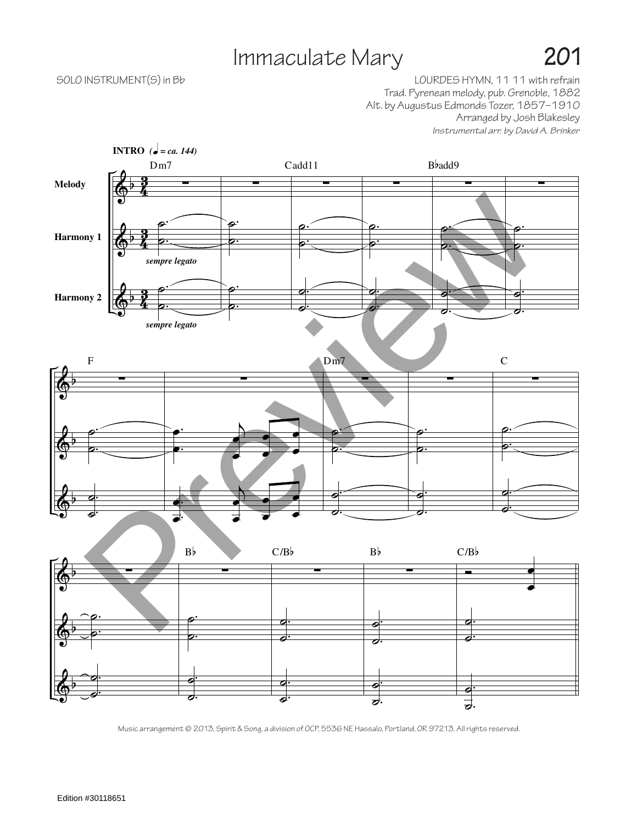## Immaculate Mary **201**

## SOLO INSTRUMENT(S) in Bb **SOLO** INSTRUMENT(S) in Bb Trad. Pyrenean melody, pub. Grenoble, 1882 Alt. by Augustus Edmonds Tozer, 1857–1910 Arranged by Josh Blakesley *Instrumental arr. by David A. Brinker*



Music arrangement © 2013, Spirit & Song, a division of OCP, 5536 NE Hassalo, Portland, OR 97213. All rights reserved.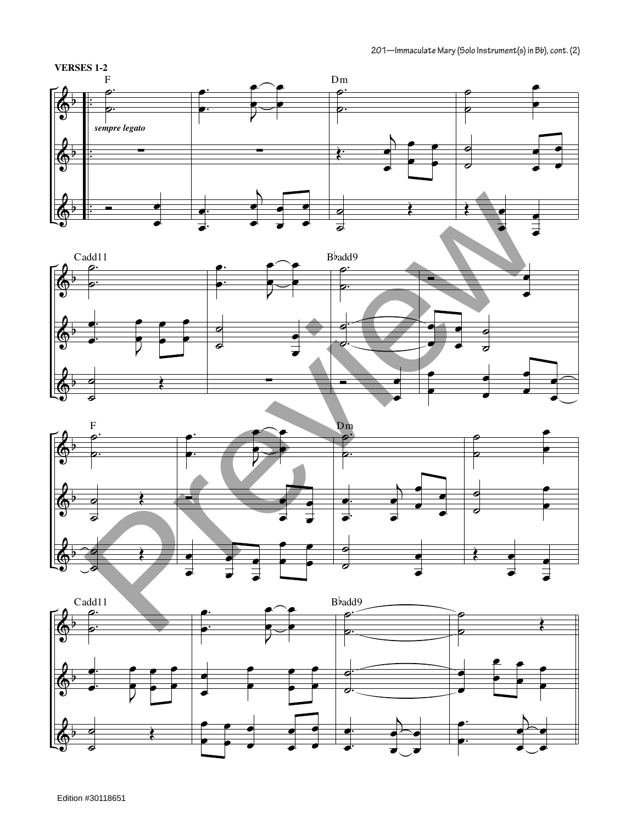





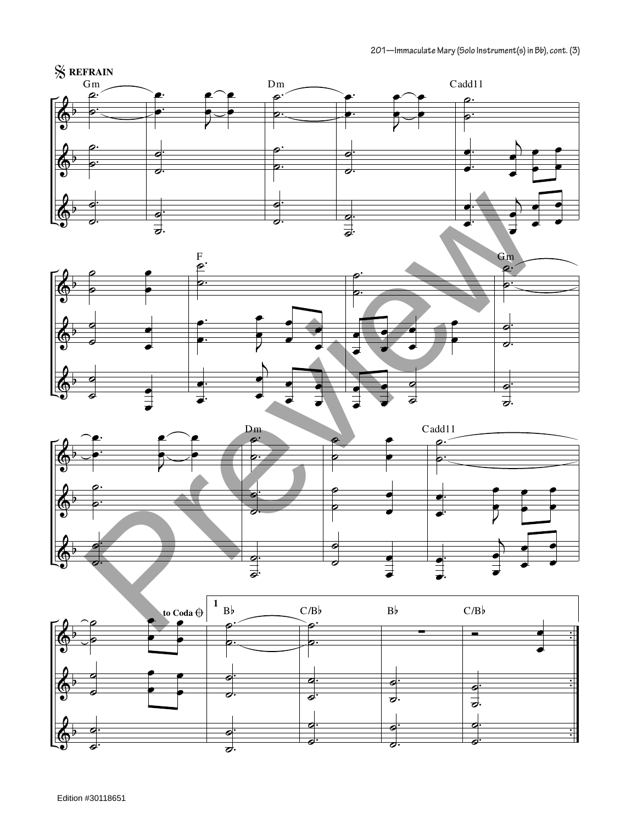





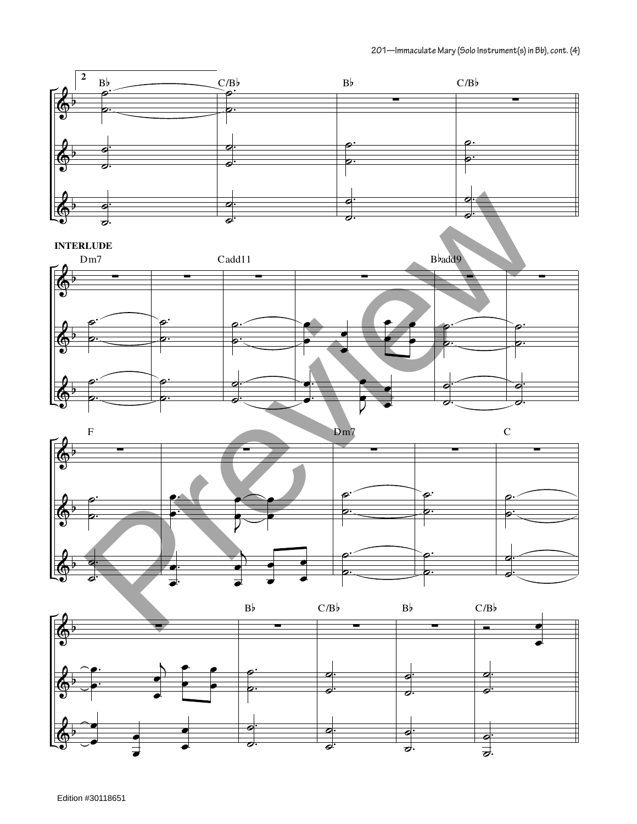